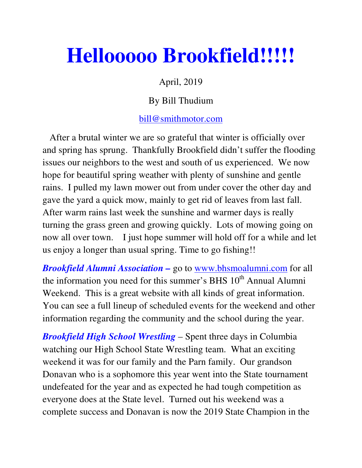## **Hellooooo Brookfield!!!!!**

## April, 2019

## By Bill Thudium

## bill@smithmotor.com

 After a brutal winter we are so grateful that winter is officially over and spring has sprung. Thankfully Brookfield didn't suffer the flooding issues our neighbors to the west and south of us experienced. We now hope for beautiful spring weather with plenty of sunshine and gentle rains. I pulled my lawn mower out from under cover the other day and gave the yard a quick mow, mainly to get rid of leaves from last fall. After warm rains last week the sunshine and warmer days is really turning the grass green and growing quickly. Lots of mowing going on now all over town. I just hope summer will hold off for a while and let us enjoy a longer than usual spring. Time to go fishing!!

*Brookfield Alumni Association –* go to www.bhsmoalumni.com for all the information you need for this summer's BHS 10<sup>th</sup> Annual Alumni Weekend. This is a great website with all kinds of great information. You can see a full lineup of scheduled events for the weekend and other information regarding the community and the school during the year.

*Brookfield High School Wrestling* – Spent three days in Columbia watching our High School State Wrestling team. What an exciting weekend it was for our family and the Parn family. Our grandson Donavan who is a sophomore this year went into the State tournament undefeated for the year and as expected he had tough competition as everyone does at the State level. Turned out his weekend was a complete success and Donavan is now the 2019 State Champion in the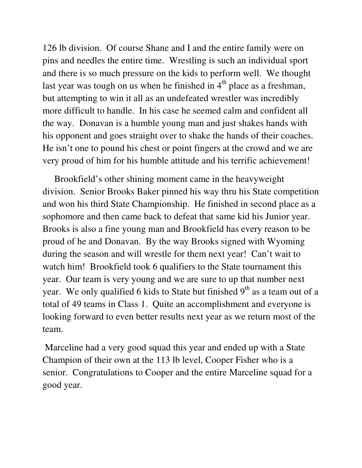126 lb division. Of course Shane and I and the entire family were on pins and needles the entire time. Wrestling is such an individual sport and there is so much pressure on the kids to perform well. We thought last year was tough on us when he finished in  $4<sup>th</sup>$  place as a freshman, but attempting to win it all as an undefeated wrestler was incredibly more difficult to handle. In his case he seemed calm and confident all the way. Donavan is a humble young man and just shakes hands with his opponent and goes straight over to shake the hands of their coaches. He isn't one to pound his chest or point fingers at the crowd and we are very proud of him for his humble attitude and his terrific achievement!

 Brookfield's other shining moment came in the heavyweight division. Senior Brooks Baker pinned his way thru his State competition and won his third State Championship. He finished in second place as a sophomore and then came back to defeat that same kid his Junior year. Brooks is also a fine young man and Brookfield has every reason to be proud of he and Donavan. By the way Brooks signed with Wyoming during the season and will wrestle for them next year! Can't wait to watch him! Brookfield took 6 qualifiers to the State tournament this year. Our team is very young and we are sure to up that number next year. We only qualified 6 kids to State but finished  $9<sup>th</sup>$  as a team out of a total of 49 teams in Class 1. Quite an accomplishment and everyone is looking forward to even better results next year as we return most of the team.

 Marceline had a very good squad this year and ended up with a State Champion of their own at the 113 lb level, Cooper Fisher who is a senior. Congratulations to Cooper and the entire Marceline squad for a good year.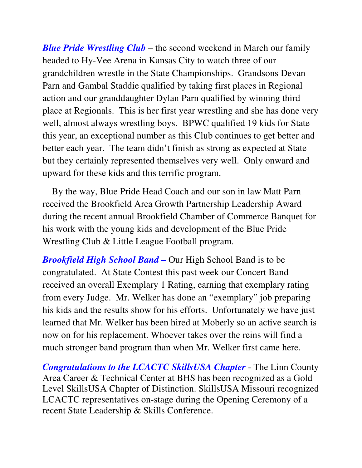*Blue Pride Wrestling Club* – the second weekend in March our family headed to Hy-Vee Arena in Kansas City to watch three of our grandchildren wrestle in the State Championships. Grandsons Devan Parn and Gambal Staddie qualified by taking first places in Regional action and our granddaughter Dylan Parn qualified by winning third place at Regionals. This is her first year wrestling and she has done very well, almost always wrestling boys. BPWC qualified 19 kids for State this year, an exceptional number as this Club continues to get better and better each year. The team didn't finish as strong as expected at State but they certainly represented themselves very well. Only onward and upward for these kids and this terrific program.

 By the way, Blue Pride Head Coach and our son in law Matt Parn received the Brookfield Area Growth Partnership Leadership Award during the recent annual Brookfield Chamber of Commerce Banquet for his work with the young kids and development of the Blue Pride Wrestling Club & Little League Football program.

*Brookfield High School Band –* Our High School Band is to be congratulated. At State Contest this past week our Concert Band received an overall Exemplary 1 Rating, earning that exemplary rating from every Judge. Mr. Welker has done an "exemplary" job preparing his kids and the results show for his efforts. Unfortunately we have just learned that Mr. Welker has been hired at Moberly so an active search is now on for his replacement. Whoever takes over the reins will find a much stronger band program than when Mr. Welker first came here.

*Congratulations to the LCACTC SkillsUSA Chapter* - The Linn County Area Career & Technical Center at BHS has been recognized as a Gold Level SkillsUSA Chapter of Distinction. SkillsUSA Missouri recognized LCACTC representatives on-stage during the Opening Ceremony of a recent State Leadership & Skills Conference.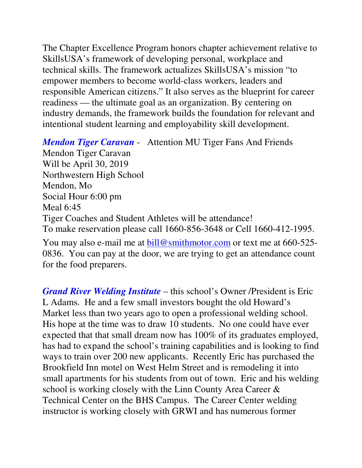The Chapter Excellence Program honors chapter achievement relative to SkillsUSA's framework of developing personal, workplace and technical skills. The framework actualizes SkillsUSA's mission "to empower members to become world-class workers, leaders and responsible American citizens." It also serves as the blueprint for career readiness — the ultimate goal as an organization. By centering on industry demands, the framework builds the foundation for relevant and intentional student learning and employability skill development.

*Mendon Tiger Caravan* - Attention MU Tiger Fans And Friends Mendon Tiger Caravan Will be April 30, 2019 Northwestern High School Mendon, Mo Social Hour 6:00 pm Meal 6:45 Tiger Coaches and Student Athletes will be attendance! To make reservation please call 1660-856-3648 or Cell 1660-412-1995. You may also e-mail me at bill@smithmotor.com or text me at 660-525-

0836. You can pay at the door, we are trying to get an attendance count for the food preparers.

*Grand River Welding Institute* – this school's Owner /President is Eric L Adams. He and a few small investors bought the old Howard's Market less than two years ago to open a professional welding school. His hope at the time was to draw 10 students. No one could have ever expected that that small dream now has 100% of its graduates employed, has had to expand the school's training capabilities and is looking to find ways to train over 200 new applicants. Recently Eric has purchased the Brookfield Inn motel on West Helm Street and is remodeling it into small apartments for his students from out of town. Eric and his welding school is working closely with the Linn County Area Career & Technical Center on the BHS Campus. The Career Center welding instructor is working closely with GRWI and has numerous former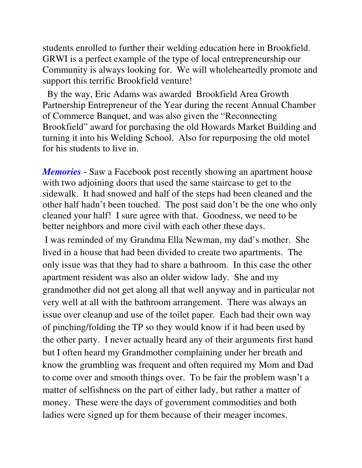students enrolled to further their welding education here in Brookfield. GRWI is a perfect example of the type of local entrepreneurship our Community is always looking for. We will wholeheartedly promote and support this terrific Brookfield venture!

 By the way, Eric Adams was awarded Brookfield Area Growth Partnership Entrepreneur of the Year during the recent Annual Chamber of Commerce Banquet, and was also given the "Reconnecting Brookfield" award for purchasing the old Howards Market Building and turning it into his Welding School. Also for repurposing the old motel for his students to live in.

*Memories* - Saw a Facebook post recently showing an apartment house with two adjoining doors that used the same staircase to get to the sidewalk. It had snowed and half of the steps had been cleaned and the other half hadn't been touched. The post said don't be the one who only cleaned your half! I sure agree with that. Goodness, we need to be better neighbors and more civil with each other these days.

 I was reminded of my Grandma Ella Newman, my dad's mother. She lived in a house that had been divided to create two apartments. The only issue was that they had to share a bathroom. In this case the other apartment resident was also an older widow lady. She and my grandmother did not get along all that well anyway and in particular not very well at all with the bathroom arrangement. There was always an issue over cleanup and use of the toilet paper. Each had their own way of pinching/folding the TP so they would know if it had been used by the other party. I never actually heard any of their arguments first hand but I often heard my Grandmother complaining under her breath and know the grumbling was frequent and often required my Mom and Dad to come over and smooth things over. To be fair the problem wasn't a matter of selfishness on the part of either lady, but rather a matter of money. These were the days of government commodities and both ladies were signed up for them because of their meager incomes.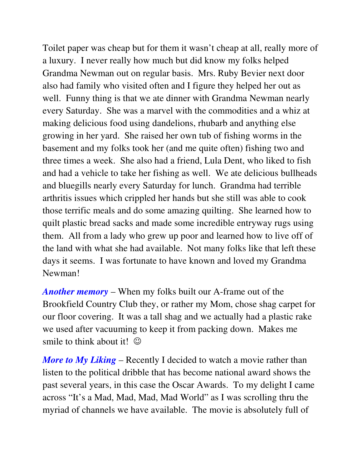Toilet paper was cheap but for them it wasn't cheap at all, really more of a luxury. I never really how much but did know my folks helped Grandma Newman out on regular basis. Mrs. Ruby Bevier next door also had family who visited often and I figure they helped her out as well. Funny thing is that we ate dinner with Grandma Newman nearly every Saturday. She was a marvel with the commodities and a whiz at making delicious food using dandelions, rhubarb and anything else growing in her yard. She raised her own tub of fishing worms in the basement and my folks took her (and me quite often) fishing two and three times a week. She also had a friend, Lula Dent, who liked to fish and had a vehicle to take her fishing as well. We ate delicious bullheads and bluegills nearly every Saturday for lunch. Grandma had terrible arthritis issues which crippled her hands but she still was able to cook those terrific meals and do some amazing quilting. She learned how to quilt plastic bread sacks and made some incredible entryway rugs using them. All from a lady who grew up poor and learned how to live off of the land with what she had available. Not many folks like that left these days it seems. I was fortunate to have known and loved my Grandma Newman!

*Another memory* – When my folks built our A-frame out of the Brookfield Country Club they, or rather my Mom, chose shag carpet for our floor covering. It was a tall shag and we actually had a plastic rake we used after vacuuming to keep it from packing down. Makes me smile to think about it!  $\odot$ 

*More to My Liking* – Recently I decided to watch a movie rather than listen to the political dribble that has become national award shows the past several years, in this case the Oscar Awards. To my delight I came across "It's a Mad, Mad, Mad, Mad World" as I was scrolling thru the myriad of channels we have available. The movie is absolutely full of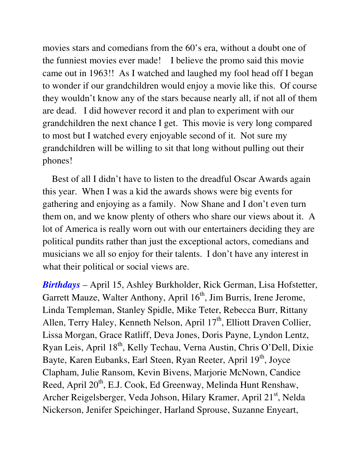movies stars and comedians from the 60's era, without a doubt one of the funniest movies ever made! I believe the promo said this movie came out in 1963!! As I watched and laughed my fool head off I began to wonder if our grandchildren would enjoy a movie like this. Of course they wouldn't know any of the stars because nearly all, if not all of them are dead. I did however record it and plan to experiment with our grandchildren the next chance I get. This movie is very long compared to most but I watched every enjoyable second of it. Not sure my grandchildren will be willing to sit that long without pulling out their phones!

 Best of all I didn't have to listen to the dreadful Oscar Awards again this year. When I was a kid the awards shows were big events for gathering and enjoying as a family. Now Shane and I don't even turn them on, and we know plenty of others who share our views about it. A lot of America is really worn out with our entertainers deciding they are political pundits rather than just the exceptional actors, comedians and musicians we all so enjoy for their talents. I don't have any interest in what their political or social views are.

*Birthdays* – April 15, Ashley Burkholder, Rick German, Lisa Hofstetter, Garrett Mauze, Walter Anthony, April  $16<sup>th</sup>$ , Jim Burris, Irene Jerome, Linda Templeman, Stanley Spidle, Mike Teter, Rebecca Burr, Rittany Allen, Terry Haley, Kenneth Nelson, April  $17<sup>th</sup>$ , Elliott Draven Collier, Lissa Morgan, Grace Ratliff, Deva Jones, Doris Payne, Lyndon Lentz, Ryan Leis, April 18<sup>th</sup>, Kelly Techau, Verna Austin, Chris O'Dell, Dixie Bayte, Karen Eubanks, Earl Steen, Ryan Reeter, April 19<sup>th</sup>, Joyce Clapham, Julie Ransom, Kevin Bivens, Marjorie McNown, Candice Reed, April 20<sup>th</sup>, E.J. Cook, Ed Greenway, Melinda Hunt Renshaw, Archer Reigelsberger, Veda Johson, Hilary Kramer, April 21<sup>st</sup>, Nelda Nickerson, Jenifer Speichinger, Harland Sprouse, Suzanne Enyeart,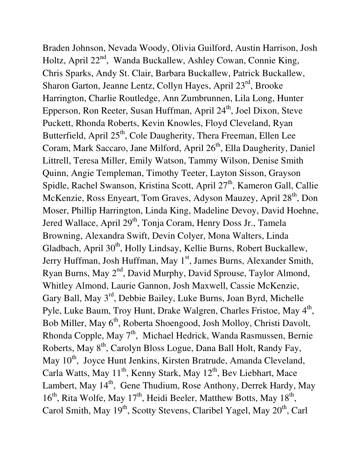Braden Johnson, Nevada Woody, Olivia Guilford, Austin Harrison, Josh Holtz, April 22<sup>nd</sup>, Wanda Buckallew, Ashley Cowan, Connie King, Chris Sparks, Andy St. Clair, Barbara Buckallew, Patrick Buckallew, Sharon Garton, Jeanne Lentz, Collyn Hayes, April 23<sup>rd</sup>, Brooke Harrington, Charlie Routledge, Ann Zumbrunnen, Lila Long, Hunter Epperson, Ron Reeter, Susan Huffman, April 24<sup>th</sup>, Joel Dixon, Steve Puckett, Rhonda Roberts, Kevin Knowles, Floyd Cleveland, Ryan Butterfield, April 25<sup>th</sup>, Cole Daugherity, Thera Freeman, Ellen Lee Coram, Mark Saccaro, Jane Milford, April 26<sup>th</sup>, Ella Daugherity, Daniel Littrell, Teresa Miller, Emily Watson, Tammy Wilson, Denise Smith Quinn, Angie Templeman, Timothy Teeter, Layton Sisson, Grayson Spidle, Rachel Swanson, Kristina Scott, April 27<sup>th</sup>, Kameron Gall, Callie McKenzie, Ross Enyeart, Tom Graves, Adyson Mauzey, April 28<sup>th</sup>, Don Moser, Phillip Harrington, Linda King, Madeline Devoy, David Hoehne, Jered Wallace, April 29<sup>th</sup>, Tonja Coram, Henry Doss Jr., Tamela Browning, Alexandra Swift, Devin Colyer, Mona Walters, Linda Gladbach, April 30<sup>th</sup>, Holly Lindsay, Kellie Burns, Robert Buckallew, Jerry Huffman, Josh Huffman, May 1<sup>st</sup>, James Burns, Alexander Smith, Ryan Burns, May 2<sup>nd</sup>, David Murphy, David Sprouse, Taylor Almond, Whitley Almond, Laurie Gannon, Josh Maxwell, Cassie McKenzie, Gary Ball, May 3rd, Debbie Bailey, Luke Burns, Joan Byrd, Michelle Pyle, Luke Baum, Troy Hunt, Drake Walgren, Charles Fristoe, May 4<sup>th</sup>, Bob Miller, May 6<sup>th</sup>, Roberta Shoengood, Josh Molloy, Christi Davolt, Rhonda Copple, May 7<sup>th</sup>, Michael Hedrick, Wanda Rasmussen, Bernie Roberts, May 8<sup>th</sup>, Carolyn Bloss Logue, Dana Ball Holt, Randy Fay, May 10<sup>th</sup>, Joyce Hunt Jenkins, Kirsten Bratrude, Amanda Cleveland, Carla Watts, May  $11^{th}$ , Kenny Stark, May  $12^{th}$ , Bev Liebhart, Mace Lambert, May 14<sup>th</sup>, Gene Thudium, Rose Anthony, Derrek Hardy, May  $16<sup>th</sup>$ , Rita Wolfe, May  $17<sup>th</sup>$ , Heidi Beeler, Matthew Botts, May  $18<sup>th</sup>$ , Carol Smith, May 19<sup>th</sup>, Scotty Stevens, Claribel Yagel, May 20<sup>th</sup>, Carl